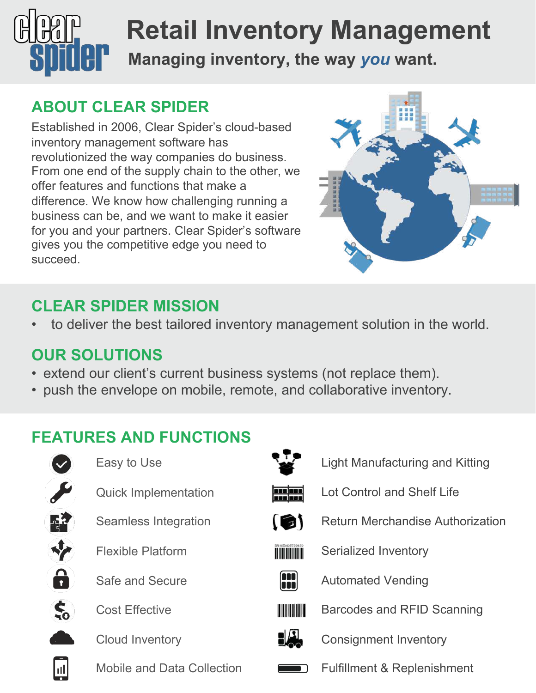

# **Managing inventory, the way** *you* **want. Retail Inventory Management**

## **ABOUT CLEAR SPIDER**

Established in 2006, Clear Spider's cloud-based inventory management software has revolutionized the way companies do business. From one end of the supply chain to the other, we offer features and functions that make a difference. We know how challenging running a business can be, and we want to make it easier for you and your partners. Clear Spider's software gives you the competitive edge you need to succeed.



### **CLEAR SPIDER MISSION**

to deliver the best tailored inventory management solution in the world.

#### **OUR SOLUTIONS**

- extend our client's current business systems (not replace them).
- push the envelope on mobile, remote, and collaborative inventory.

## **FEATURES AND FUNCTIONS**



Easy to Use

- Quick Implementation
- Seamless Integration



Flexible Platform



Safe and Secure



Cost Effective



Mobile and Data Collection



- Light Manufacturing and Kitting
- Lot Control and Shelf Life
- 
- Return Merchandise Authorization



Serialized Inventory



Automated Vending



- - Consignment Inventory
	- Fulfillment & Replenishment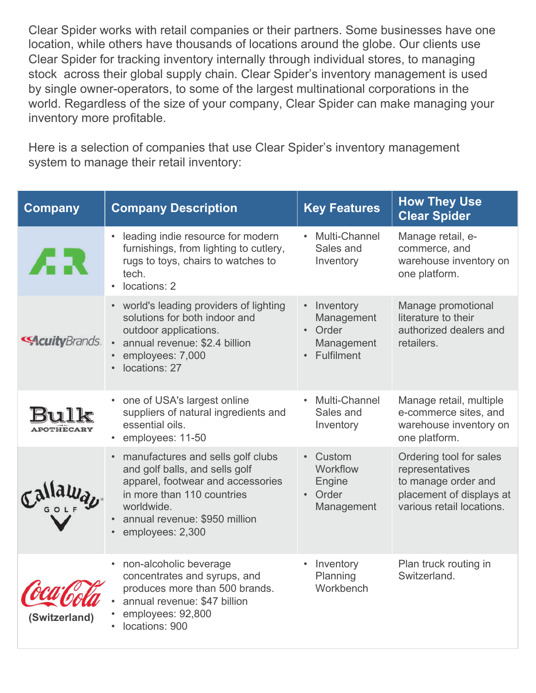Clear Spider works with retail companies or their partners. Some businesses have one location, while others have thousands of locations around the globe. Our clients use Clear Spider for tracking inventory internally through individual stores, to managing stock across their global supply chain. Clear Spider's inventory management is used by single owner-operators, to some of the largest multinational corporations in the world. Regardless of the size of your company, Clear Spider can make managing your inventory more profitable.

Here is a selection of companies that use Clear Spider's inventory management system to manage their retail inventory:

| <b>Company</b>         | <b>Company Description</b>                                                                                                                                                                                  | <b>Key Features</b>                                                                      | <b>How They Use</b><br><b>Clear Spider</b>                                                                                 |
|------------------------|-------------------------------------------------------------------------------------------------------------------------------------------------------------------------------------------------------------|------------------------------------------------------------------------------------------|----------------------------------------------------------------------------------------------------------------------------|
| ÆR                     | leading indie resource for modern<br>$\bullet$<br>furnishings, from lighting to cutlery,<br>rugs to toys, chairs to watches to<br>tech.<br>locations: 2<br>$\bullet$                                        | Multi-Channel<br>Sales and<br>Inventory                                                  | Manage retail, e-<br>commerce, and<br>warehouse inventory on<br>one platform.                                              |
| <b>SAcuity</b> Brands. | • world's leading providers of lighting<br>solutions for both indoor and<br>outdoor applications.<br>annual revenue: \$2.4 billion<br>$\bullet$<br>employees: 7,000<br>locations: 27                        | Inventory<br>$\bullet$<br>Management<br>Order<br>$\bullet$<br>Management<br>• Fulfilment | Manage promotional<br>literature to their<br>authorized dealers and<br>retailers.                                          |
| POTHECARY              | one of USA's largest online<br>suppliers of natural ingredients and<br>essential oils.<br>• employees: 11-50                                                                                                | Multi-Channel<br>Sales and<br>Inventory                                                  | Manage retail, multiple<br>e-commerce sites, and<br>warehouse inventory on<br>one platform.                                |
|                        | • manufactures and sells golf clubs<br>and golf balls, and sells golf<br>apparel, footwear and accessories<br>in more than 110 countries<br>worldwide.<br>annual revenue: \$950 million<br>employees: 2,300 | Custom<br>$\bullet$<br>Workflow<br>Engine<br>• Order<br>Management                       | Ordering tool for sales<br>representatives<br>to manage order and<br>placement of displays at<br>various retail locations. |
| (Switzerland)          | non-alcoholic beverage<br>concentrates and syrups, and<br>produces more than 500 brands.<br>annual revenue: \$47 billion<br>employees: 92,800<br>locations: 900                                             | Inventory<br>Planning<br>Workbench                                                       | Plan truck routing in<br>Switzerland.                                                                                      |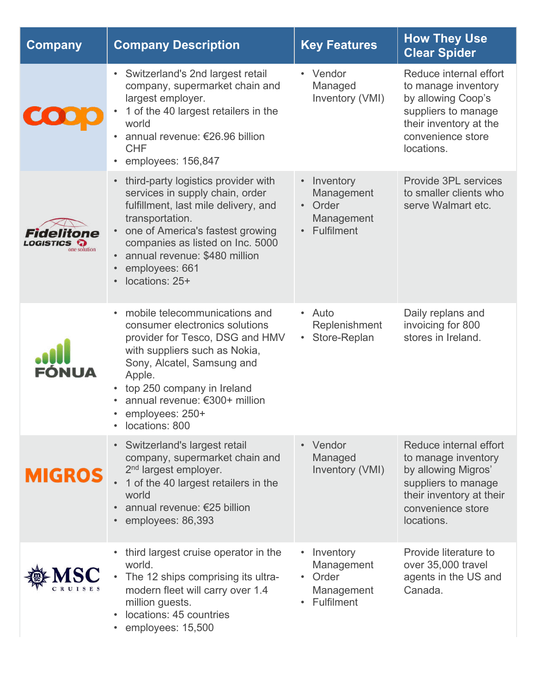| <b>Company</b> | <b>Company Description</b>                                                                                                                                                                                                                                                                                             | <b>Key Features</b>                                                                                 | <b>How They Use</b><br><b>Clear Spider</b>                                                                                                                 |
|----------------|------------------------------------------------------------------------------------------------------------------------------------------------------------------------------------------------------------------------------------------------------------------------------------------------------------------------|-----------------------------------------------------------------------------------------------------|------------------------------------------------------------------------------------------------------------------------------------------------------------|
|                | Switzerland's 2nd largest retail<br>$\bullet$<br>company, supermarket chain and<br>largest employer.<br>1 of the 40 largest retailers in the<br>world<br>annual revenue: €26.96 billion<br>$\bullet$<br><b>CHF</b><br>employees: 156,847                                                                               | Vendor<br>$\bullet$<br>Managed<br>Inventory (VMI)                                                   | Reduce internal effort<br>to manage inventory<br>by allowing Coop's<br>suppliers to manage<br>their inventory at the<br>convenience store<br>locations.    |
| one solution   | third-party logistics provider with<br>$\bullet$<br>services in supply chain, order<br>fulfillment, last mile delivery, and<br>transportation.<br>one of America's fastest growing<br>$\bullet$<br>companies as listed on Inc. 5000<br>annual revenue: \$480 million<br>employees: 661<br>$\bullet$<br>locations: 25+  | Inventory<br>$\bullet$<br>Management<br>Order<br>$\bullet$<br>Management<br>Fulfilment<br>$\bullet$ | Provide 3PL services<br>to smaller clients who<br>serve Walmart etc.                                                                                       |
|                | mobile telecommunications and<br>$\bullet$<br>consumer electronics solutions<br>provider for Tesco, DSG and HMV<br>with suppliers such as Nokia,<br>Sony, Alcatel, Samsung and<br>Apple.<br>top 250 company in Ireland<br>$\bullet$<br>annual revenue: €300+ million<br>employees: 250+<br>locations: 800<br>$\bullet$ | • Auto<br>Replenishment<br>• Store-Replan                                                           | Daily replans and<br>invoicing for 800<br>stores in Ireland.                                                                                               |
| <b>MIGROS</b>  | Switzerland's largest retail<br>$\bullet$<br>company, supermarket chain and<br>2 <sup>nd</sup> largest employer.<br>1 of the 40 largest retailers in the<br>world<br>annual revenue: €25 billion<br>employees: 86,393<br>$\bullet$                                                                                     | Vendor<br>$\bullet$<br>Managed<br>Inventory (VMI)                                                   | Reduce internal effort<br>to manage inventory<br>by allowing Migros'<br>suppliers to manage<br>their inventory at their<br>convenience store<br>locations. |
|                | third largest cruise operator in the<br>world.<br>The 12 ships comprising its ultra-<br>modern fleet will carry over 1.4<br>million guests.<br>locations: 45 countries<br>$\bullet$<br>employees: 15,500                                                                                                               | Inventory<br>$\bullet$<br>Management<br>Order<br>$\bullet$<br>Management<br>Fulfilment              | Provide literature to<br>over 35,000 travel<br>agents in the US and<br>Canada.                                                                             |